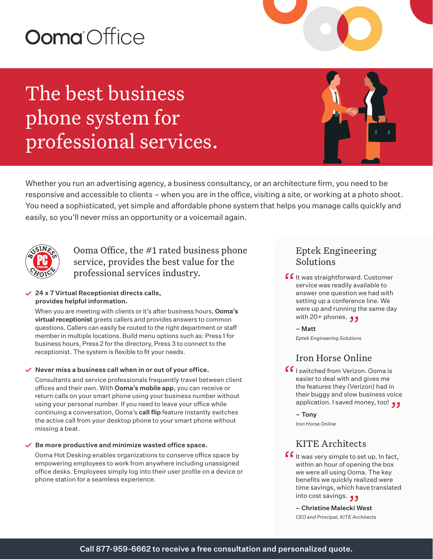# Ooma Office

## The best business phone system for professional services.



Whether you run an advertising agency, a business consultancy, or an architecture firm, you need to be responsive and accessible to clients – when you are in the office, visiting a site, or working at a photo shoot. You need a sophisticated, yet simple and affordable phone system that helps you manage calls quickly and easily, so you'll never miss an opportunity or a voicemail again.



Ooma Office, the #1 rated business phone service, provides the best value for the professional services industry.

#### $\angle$  24 x 7 Virtual Receptionist directs calls, provides helpful information.

When you are meeting with clients or it's after business hours, Ooma's virtual receptionist greets callers and provides answers to common questions. Callers can easily be routed to the right department or staff member in multiple locations. Build menu options such as: Press 1 for business hours, Press 2 for the directory, Press 3 to connect to the receptionist. The system is flexible to fit your needs.

#### $\vee$  Never miss a business call when in or out of your office.

Consultants and service professionals frequently travel between client offices and their own. With Ooma's mobile app, you can receive or return calls on your smart phone using your business number without using your personal number. If you need to leave your office while continuing a conversation, Ooma's call flip feature instantly switches the active call from your desktop phone to your smart phone without missing a beat.

#### $\vee$  Be more productive and minimize wasted office space.

Ooma Hot Desking enables organizations to conserve office space by empowering employees to work from anywhere including unassigned office desks. Employees simply log into their user profile on a device or phone station for a seamless experience.

## Eptek Engineering Solutions

**f** It was straightforward. Customer<br>service was readily available to<br>answer one question we had with service was readily available to answer one question we had with setting up a conference line. We were up and running the same day were up and running t<br>**3 ر** و with 20+ phones.

– Matt *Eptek Engineering Solutions* 

## Iron Horse Online

**f**  $\int$  i switched from Verizon. Ooma is<br>easier to deal with and gives me<br>the features they (Verizon) had in easier to deal with and gives me the features they (Verizon) had in their buggy and slow business voice their buggy and slow business voice<br>application. I saved money, too! <sub>J J</sub>

– Tony

*Iron Horse Online*

## KITE Architects

 $\int f$  it was very simple to set up. In fact,<br>within an hour of opening the box<br>we were all using Ooma, The key within an hour of opening the box we were all using Ooma. The key benefits we quickly realized were time savings, which have translated time savings, which ha<br>**و و** 

– Christine Malecki West *CEO and Principal, KITE Architects*